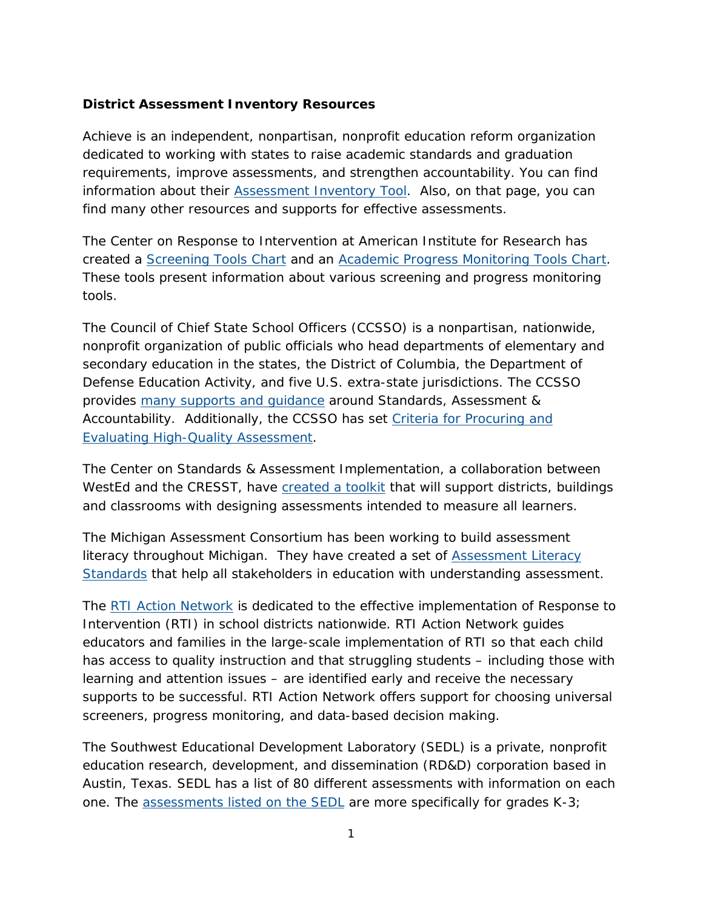## **District Assessment Inventory Resources**

Achieve is an independent, nonpartisan, nonprofit education reform organization dedicated to working with states to raise academic standards and graduation requirements, improve assessments, and strengthen accountability. You can find information about their [Assessment Inventory Tool.](http://www.achieve.org/assessmentinventory) Also, on that page, you can find many other resources and supports for effective assessments.

The Center on Response to Intervention at American Institute for Research has created a [Screening Tools Chart](http://www.rti4success.org/resources/tools-charts/screening-tools-chart) and an [Academic Progress Monitoring Tools Chart.](http://www.intensiveintervention.org/chart/progress-monitoring) These tools present information about various screening and progress monitoring tools.

The Council of Chief State School Officers (CCSSO) is a nonpartisan, nationwide, nonprofit organization of public officials who head departments of elementary and secondary education in the states, the District of Columbia, the Department of Defense Education Activity, and five U.S. extra-state jurisdictions. The CCSSO provides [many supports and guidance](http://www.ccsso.org/Resources/Programs/Assessments.html) around Standards, Assessment & Accountability. Additionally, the CCSSO has set [Criteria for Procuring and](http://www.ccsso.org/Documents/2014/CCSSO%20Criteria%20for%20High%20Quality%20Assessments%2003242014.pdf)  [Evaluating High-Quality Assessment.](http://www.ccsso.org/Documents/2014/CCSSO%20Criteria%20for%20High%20Quality%20Assessments%2003242014.pdf)

The Center on Standards & Assessment Implementation, a collaboration between WestEd and the CRESST, have [created a toolkit](http://csai-online.org/spotlight/assessment-design-toolkit) that will support districts, buildings and classrooms with designing assessments intended to measure all learners.

The Michigan Assessment Consortium has been working to build assessment literacy throughout Michigan. They have created a set of [Assessment Literacy](http://michiganassessmentconsortium.org/als/survey-regarding-assessment-literacy-standards.)  [Standards](http://michiganassessmentconsortium.org/als/survey-regarding-assessment-literacy-standards.) that help all stakeholders in education with understanding assessment.

The [RTI Action Network](http://www.rtinetwork.org/) is dedicated to the effective implementation of Response to Intervention (RTI) in school districts nationwide. RTI Action Network guides educators and families in the large-scale implementation of RTI so that each child has access to quality instruction and that struggling students – including those with learning and attention issues – are identified early and receive the necessary supports to be successful. RTI Action Network offers support for choosing universal screeners, progress monitoring, and data-based decision making.

The Southwest Educational Development Laboratory (SEDL) is a private, nonprofit education research, development, and dissemination (RD&D) corporation based in Austin, Texas. SEDL has a list of 80 different assessments with information on each one. The [assessments listed on the SEDL](http://www.sedl.org/reading/rad/database.html) are more specifically for grades K-3;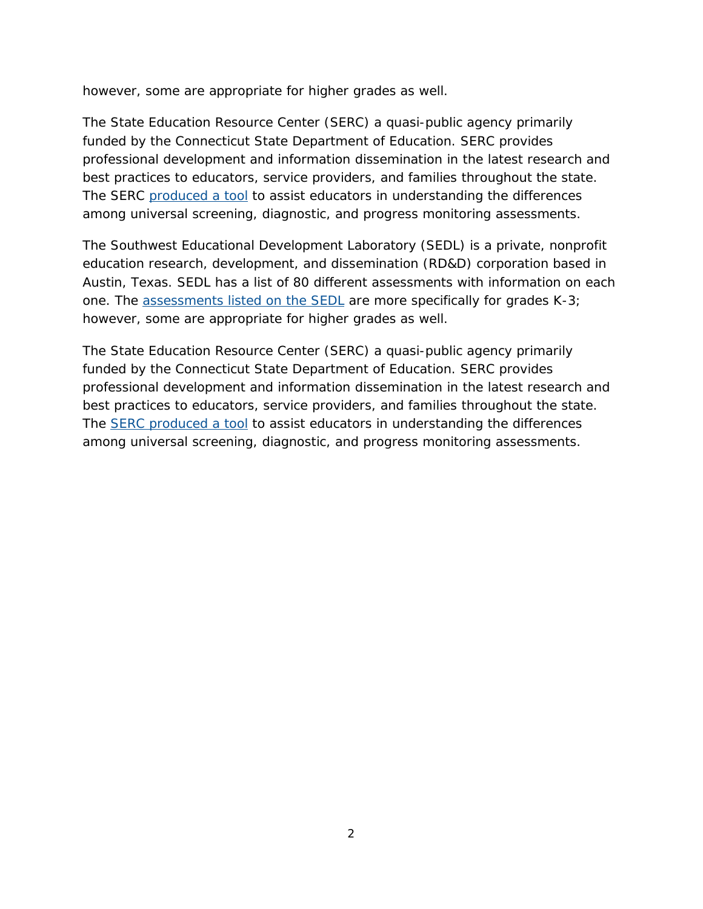however, some are appropriate for higher grades as well.

The State Education Resource Center (SERC) a quasi-public agency primarily funded by the Connecticut State Department of Education. SERC provides professional development and information dissemination in the latest research and best practices to educators, service providers, and families throughout the state. The SERC [produced a tool](http://www.sde.ct.gov/sde/lib/sde/pdf/curriculum/cali/elementary_assessments_4-9-12.pdf) to assist educators in understanding the differences among universal screening, diagnostic, and progress monitoring assessments.

The Southwest Educational Development Laboratory (SEDL) is a private, nonprofit education research, development, and dissemination (RD&D) corporation based in Austin, Texas. SEDL has a list of 80 different assessments with information on each one. The [assessments listed on the SEDL](http://www.sedl.org/reading/rad/database.html) are more specifically for grades K-3; however, some are appropriate for higher grades as well.

The State Education Resource Center (SERC) a quasi-public agency primarily funded by the Connecticut State Department of Education. SERC provides professional development and information dissemination in the latest research and best practices to educators, service providers, and families throughout the state. The [SERC produced a tool](http://www.sde.ct.gov/sde/lib/sde/pdf/curriculum/cali/elementary_assessments_4-9-12.pdf) to assist educators in understanding the differences among universal screening, diagnostic, and progress monitoring assessments.